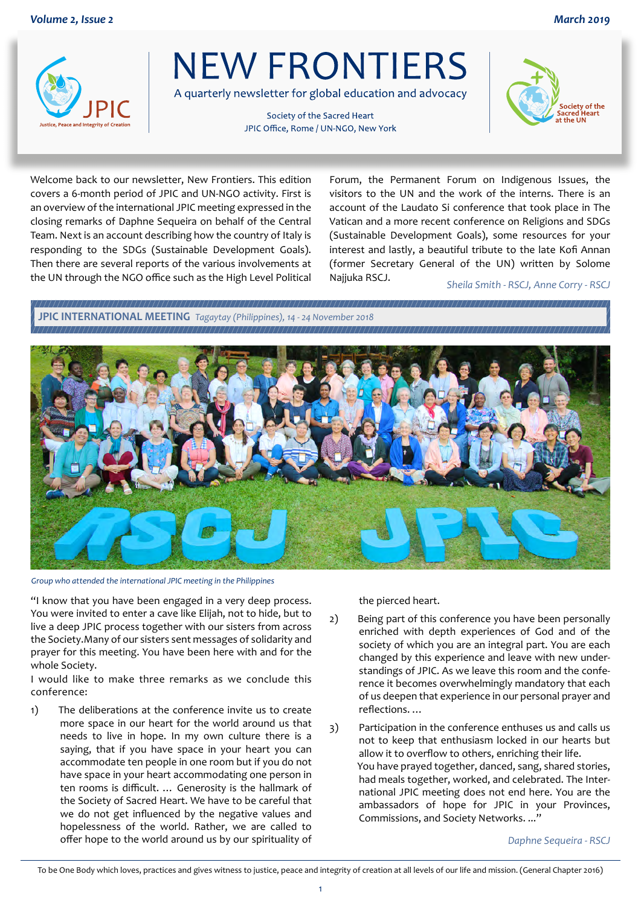

**NEW FRONTIERS** 

A quarterly newsletter for global education and advocacy

Society of the Sacred Heart JPIC Office, Rome / UN-NGO, New York



Welcome back to our newsletter, New Frontiers. This edition covers a 6-month period of JPIC and UN-NGO activity. First is an overview of the international JPIC meeting expressed in the closing remarks of Daphne Sequeira on behalf of the Central Team. Next is an account describing how the country of Italy is responding to the SDGs (Sustainable Development Goals). Then there are several reports of the various involvements at the UN through the NGO office such as the High Level Political Forum, the Permanent Forum on Indigenous Issues, the visitors to the UN and the work of the interns. There is an account of the Laudato Si conference that took place in The Vatican and a more recent conference on Religions and SDGs (Sustainable Development Goals), some resources for your interest and lastly, a beautiful tribute to the late Kofi Annan (former Secretary General of the UN) written by Solome Najjuka RSCJ. *Sheila Smith - RSCJ, Anne Corry - RSCJ*

**JPIC INTERNATIONAL MEETING** *Tagaytay (Philippines), 14 - 24 November 2018* 



*Group who attended the international JPIC meeting in the Philippines*

"I know that you have been engaged in a very deep process. You were invited to enter a cave like Elijah, not to hide, but to live a deep JPIC process together with our sisters from across the Society.Many of our sisters sent messages of solidarity and prayer for this meeting. You have been here with and for the whole Society.

I would like to make three remarks as we conclude this conference:

1) The deliberations at the conference invite us to create more space in our heart for the world around us that needs to live in hope. In my own culture there is a saying, that if you have space in your heart you can accommodate ten people in one room but if you do not have space in your heart accommodating one person in ten rooms is difficult. … Generosity is the hallmark of the Society of Sacred Heart. We have to be careful that we do not get influenced by the negative values and hopelessness of the world. Rather, we are called to offer hope to the world around us by our spirituality of the pierced heart.

- 2) Being part of this conference you have been personally enriched with depth experiences of God and of the society of which you are an integral part. You are each changed by this experience and leave with new understandings of JPIC. As we leave this room and the conference it becomes overwhelmingly mandatory that each of us deepen that experience in our personal prayer and reflections. …
- 3) Participation in the conference enthuses us and calls us not to keep that enthusiasm locked in our hearts but allow it to overflow to others, enriching their life. You have prayed together, danced, sang, shared stories, had meals together, worked, and celebrated. The International JPIC meeting does not end here. You are the ambassadors of hope for JPIC in your Provinces, Commissions, and Society Networks. ..."

*Daphne Sequeira - RSCJ*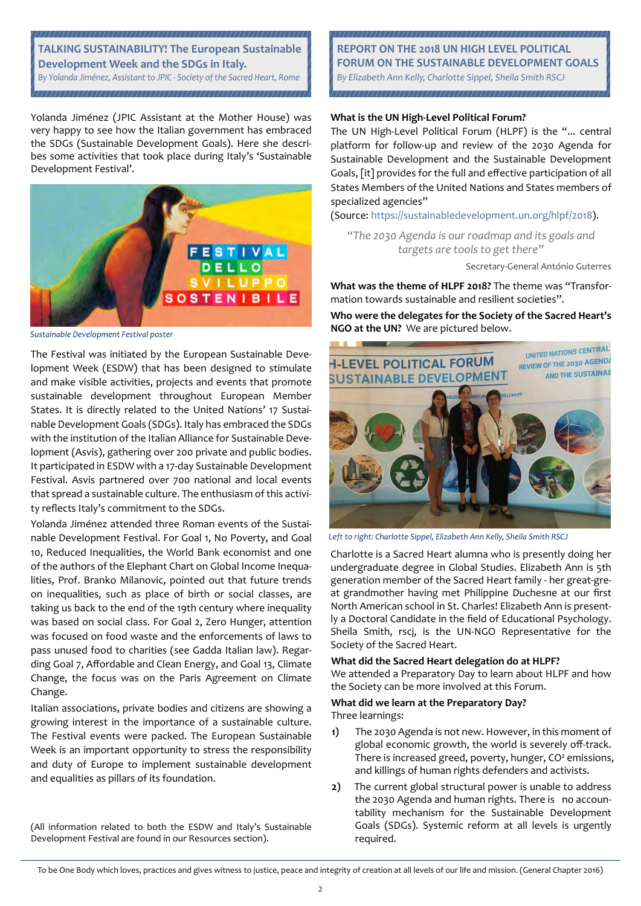

Yolanda Jiménez (JPIC Assistant at the Mother House) was very happy to see how the Italian government has embraced the SDGs (Sustainable Development Goals). Here she describes some activities that took place during Italy's 'Sustainable Development Festival'.



*Sustainable Development Festival poster*

The Festival was initiated by the European Sustainable Development Week (ESDW) that has been designed to stimulate and make visible activities, projects and events that promote sustainable development throughout European Member States. It is directly related to the United Nations' 17 Sustainable Development Goals (SDGs). Italy has embraced the SDGs with the institution of the Italian Alliance for Sustainable Development (Asvis), gathering over 200 private and public bodies. It participated in ESDW with a 17-day Sustainable Development Festival. Asvis partnered over 700 national and local events that spread a sustainable culture. The enthusiasm of this activity reflects Italy's commitment to the SDGs.

Yolanda Jiménez attended three Roman events of the Sustainable Development Festival. For Goal 1, No Poverty, and Goal 10, Reduced Inequalities, the World Bank economist and one of the authors of the Elephant Chart on Global Income Inequalities, Prof. Branko Milanovic, pointed out that future trends on inequalities, such as place of birth or social classes, are taking us back to the end of the 19th century where inequality was based on social class. For Goal 2, Zero Hunger, attention was focused on food waste and the enforcements of laws to pass unused food to charities (see Gadda Italian law). Regarding Goal 7, Affordable and Clean Energy, and Goal 13, Climate Change, the focus was on the Paris Agreement on Climate Change.

Italian associations, private bodies and citizens are showing a growing interest in the importance of a sustainable culture. The Festival events were packed. The European Sustainable Week is an important opportunity to stress the responsibility and duty of Europe to implement sustainable development and equalities as pillars of its foundation.

(All information related to both the ESDW and Italy's Sustainable Development Festival are found in our Resources section).

**REPORT ON THE 2018 UN HIGH LEVEL POLITICAL FORUM ON THE SUSTAINABLE DEVELOPMENT GOALS** *By Elizabeth Ann Kelly, Charlotte Sippel, Sheila Smith RSCJ* 

#### **What is the UN High-Level Political Forum?**

The UN High-Level Political Forum (HLPF) is the "... central platform for follow-up and review of the 2030 Agenda for Sustainable Development and the Sustainable Development Goals, [it] provides for the full and effective participation of all States Members of the United Nations and States members of specialized agencies"

(Source: https://sustainabledevelopment.un.org/hlpf/2018).

*"The 2030 Agenda is our roadmap and its goals and targets are tools to get there"*

Secretary-General António Guterres

**What was the theme of HLPF 2018?** The theme was "Transformation towards sustainable and resilient societies".

**Who were the delegates for the Society of the Sacred Heart's NGO at the UN?** We are pictured below.



*Left to right: Charlotte Sippel, Elizabeth Ann Kelly, Sheila Smith RSCJ*

Charlotte is a Sacred Heart alumna who is presently doing her undergraduate degree in Global Studies. Elizabeth Ann is 5th generation member of the Sacred Heart family - her great-great grandmother having met Philippine Duchesne at our first North American school in St. Charles! Elizabeth Ann is presently a Doctoral Candidate in the field of Educational Psychology. Sheila Smith, rscj, is the UN-NGO Representative for the Society of the Sacred Heart.

#### **What did the Sacred Heart delegation do at HLPF?**

We attended a Preparatory Day to learn about HLPF and how the Society can be more involved at this Forum.

# **What did we learn at the Preparatory Day?**

Three learnings:

- **1)** The 2030 Agenda is not new. However, in this moment of global economic growth, the world is severely off-track. There is increased greed, poverty, hunger, CO² emissions, and killings of human rights defenders and activists.
- **2)** The current global structural power is unable to address the 2030 Agenda and human rights. There is no accountability mechanism for the Sustainable Development Goals (SDGs). Systemic reform at all levels is urgently required.

To be One Body which loves, practices and gives witness to justice, peace and integrity of creation at all levels of our life and mission. (General Chapter 2016)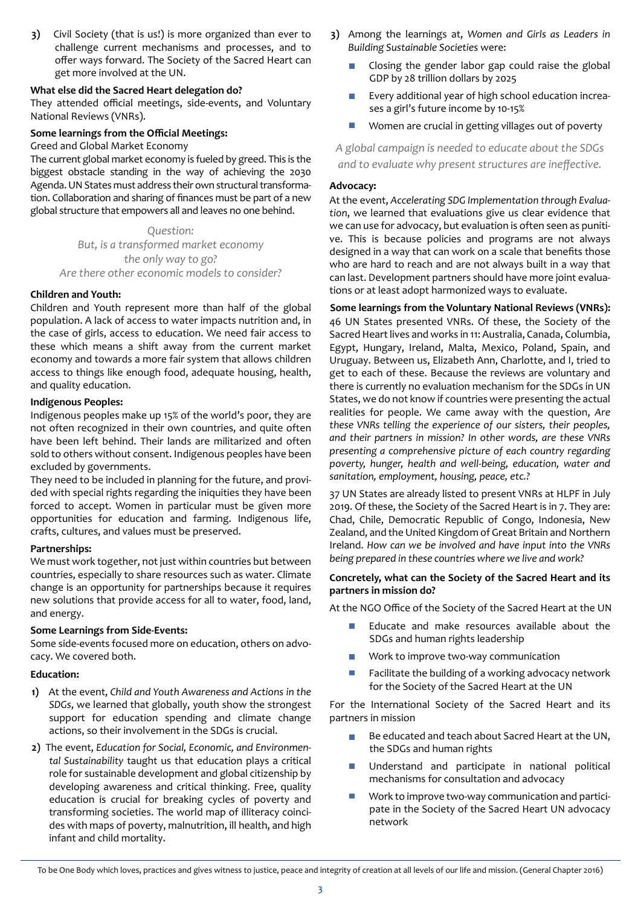**3)** Civil Society (that is us!) is more organized than ever to challenge current mechanisms and processes, and to offer ways forward. The Society of the Sacred Heart can get more involved at the UN.

#### **What else did the Sacred Heart delegation do?**

They attended official meetings, side-events, and Voluntary National Reviews (VNRs).

#### **Some learnings from the Official Meetings:**

Greed and Global Market Economy

The current global market economy is fueled by greed. This is the biggest obstacle standing in the way of achieving the 2030 Agenda. UN States must address their own structural transformation. Collaboration and sharing of finances must be part of a new global structure that empowers all and leaves no one behind.

*Question: But, is a transformed market economy the only way to go? Are there other economic models to consider?* 

#### **Children and Youth:**

Children and Youth represent more than half of the global population. A lack of access to water impacts nutrition and, in the case of girls, access to education. We need fair access to these which means a shift away from the current market economy and towards a more fair system that allows children access to things like enough food, adequate housing, health, and quality education.

#### **Indigenous Peoples:**

Indigenous peoples make up 15% of the world's poor, they are not often recognized in their own countries, and quite often have been left behind. Their lands are militarized and often sold to others without consent. Indigenous peoples have been excluded by governments.

They need to be included in planning for the future, and provided with special rights regarding the iniquities they have been forced to accept. Women in particular must be given more opportunities for education and farming. Indigenous life, crafts, cultures, and values must be preserved.

## **Partnerships:**

We must work together, not just within countries but between countries, especially to share resources such as water. Climate change is an opportunity for partnerships because it requires new solutions that provide access for all to water, food, land, and energy.

## **Some Learnings from Side-Events:**

Some side-events focused more on education, others on advocacy. We covered both.

## **Education:**

- **1)** At the event, *Child and Youth Awareness and Actions in the SDGs*, we learned that globally, youth show the strongest support for education spending and climate change actions, so their involvement in the SDGs is crucial.
- **2)** The event, *Education for Social, Economic, and Environmental Sustainability* taught us that education plays a critical role for sustainable development and global citizenship by developing awareness and critical thinking. Free, quality education is crucial for breaking cycles of poverty and transforming societies. The world map of illiteracy coincides with maps of poverty, malnutrition, ill health, and high infant and child mortality.
- **3)** Among the learnings at, *Women and Girls as Leaders in Building Sustainable Societies* were:
	- Closing the gender labor gap could raise the global GDP by 28 trillion dollars by 2025
	- Every additional year of high school education increases a girl's future income by 10-15%
	- m. Women are crucial in getting villages out of poverty

*A global campaign is needed to educate about the SDGs and to evaluate why present structures are ineffective.*

#### **Advocacy:**

At the event, *Accelerating SDG Implementation through Evaluation*, we learned that evaluations give us clear evidence that we can use for advocacy, but evaluation is often seen as punitive. This is because policies and programs are not always designed in a way that can work on a scale that benefits those who are hard to reach and are not always built in a way that can last. Development partners should have more joint evaluations or at least adopt harmonized ways to evaluate.

**Some learnings from the Voluntary National Reviews (VNRs):** 46 UN States presented VNRs. Of these, the Society of the Sacred Heart lives and works in 11: Australia, Canada, Columbia, Egypt, Hungary, Ireland, Malta, Mexico, Poland, Spain, and Uruguay. Between us, Elizabeth Ann, Charlotte, and I, tried to get to each of these. Because the reviews are voluntary and there is currently no evaluation mechanism for the SDGs in UN States, we do not know if countries were presenting the actual realities for people. We came away with the question, *Are these VNRs telling the experience of our sisters, their peoples, and their partners in mission? In other words, are these VNRs presenting a comprehensive picture of each country regarding poverty, hunger, health and well-being, education, water and sanitation, employment, housing, peace, etc.?* 

37 UN States are already listed to present VNRs at HLPF in July 2019. Of these, the Society of the Sacred Heart is in 7. They are: Chad, Chile, Democratic Republic of Congo, Indonesia, New Zealand, and the United Kingdom of Great Britain and Northern Ireland. *How can we be involved and have input into the VNRs being prepared in these countries where we live and work?* 

#### **Concretely, what can the Society of the Sacred Heart and its partners in mission do?**

At the NGO Office of the Society of the Sacred Heart at the UN

- Educate and make resources available about the SDGs and human rights leadership
- Work to improve two-way communication
- Facilitate the building of a working advocacy network for the Society of the Sacred Heart at the UN

For the International Society of the Sacred Heart and its partners in mission

- Be educated and teach about Sacred Heart at the UN, the SDGs and human rights
- m. Understand and participate in national political mechanisms for consultation and advocacy
- Work to improve two-way communication and participate in the Society of the Sacred Heart UN advocacy network

To be One Body which loves, practices and gives witness to justice, peace and integrity of creation at all levels of our life and mission. (General Chapter 2016)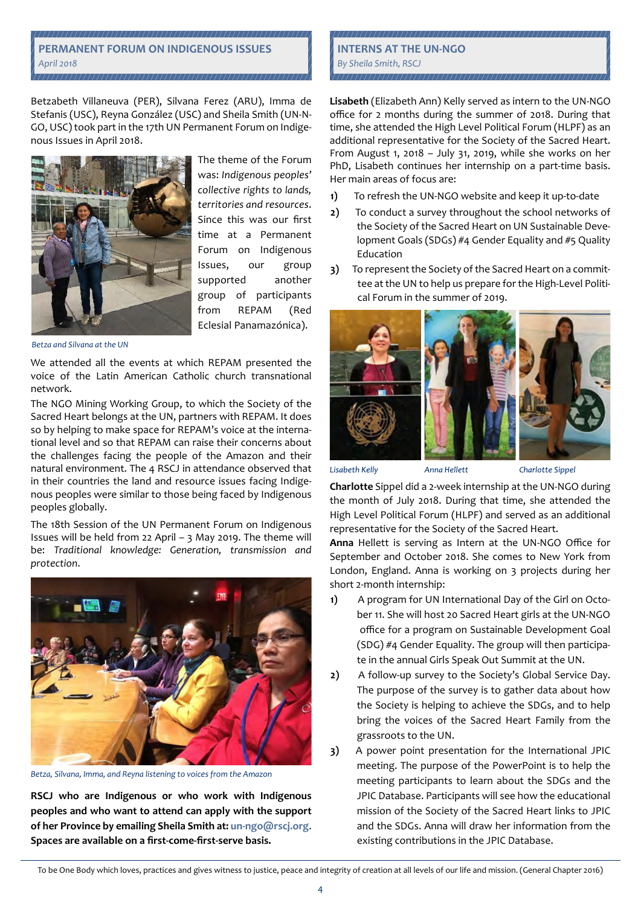#### **PERMANENT FORUM ON INDIGENOUS ISSUES** *April 2018*

Betzabeth Villaneuva (PER), Silvana Ferez (ARU), Imma de Stefanis (USC), Reyna González (USC) and Sheila Smith (UN-N-GO, USC) took part in the 17th UN Permanent Forum on Indigenous Issues in April 2018.



The theme of the Forum was: *Indigenous peoples' collective rights to lands, territories and resources*. Since this was our first time at a Permanent Forum on Indigenous Issues, our group supported another group of participants from REPAM (Red Eclesial Panamazónica).

*Betza and Silvana at the UN*

We attended all the events at which REPAM presented the voice of the Latin American Catholic church transnational network.

The NGO Mining Working Group, to which the Society of the Sacred Heart belongs at the UN, partners with REPAM. It does so by helping to make space for REPAM's voice at the international level and so that REPAM can raise their concerns about the challenges facing the people of the Amazon and their natural environment. The 4 RSCJ in attendance observed that in their countries the land and resource issues facing Indigenous peoples were similar to those being faced by Indigenous peoples globally.

The 18th Session of the UN Permanent Forum on Indigenous Issues will be held from 22 April – 3 May 2019. The theme will be: *Traditional knowledge: Generation, transmission and protection*.



*Betza, Silvana, Imma, and Reyna listening to voices from the Amazon* 

**RSCJ who are Indigenous or who work with Indigenous peoples and who want to attend can apply with the support of her Province by emailing Sheila Smith at: un-ngo@rscj.org**. **Spaces are available on a first-come-first-serve basis.**

#### **INTERNS AT THE UN-NGO** *By Sheila Smith, RSCJ*

**Lisabeth** (Elizabeth Ann) Kelly served as intern to the UN-NGO office for 2 months during the summer of 2018. During that time, she attended the High Level Political Forum (HLPF) as an additional representative for the Society of the Sacred Heart. From August 1, 2018 – July 31, 2019, while she works on her PhD, Lisabeth continues her internship on a part-time basis. Her main areas of focus are:

- **1)** To refresh the UN-NGO website and keep it up-to-date
- **2)** To conduct a survey throughout the school networks of the Society of the Sacred Heart on UN Sustainable Development Goals (SDGs) #4 Gender Equality and #5 Quality Education
- **3)** To represent the Society of the Sacred Heart on a committee at the UN to help us prepare for the High-Level Political Forum in the summer of 2019.



Lisabeth Kelly

Charlotte Sippel

**Charlotte** Sippel did a 2-week internship at the UN-NGO during the month of July 2018. During that time, she attended the High Level Political Forum (HLPF) and served as an additional representative for the Society of the Sacred Heart.

Anna Hellett

**Anna** Hellett is serving as Intern at the UN-NGO Office for September and October 2018. She comes to New York from London, England. Anna is working on 3 projects during her short 2-month internship:

- **1)** A program for UN International Day of the Girl on October 11. She will host 20 Sacred Heart girls at the UN-NGO office for a program on Sustainable Development Goal (SDG) #4 Gender Equality. The group will then participate in the annual Girls Speak Out Summit at the UN.
- **2)** A follow-up survey to the Society's Global Service Day. The purpose of the survey is to gather data about how the Society is helping to achieve the SDGs, and to help bring the voices of the Sacred Heart Family from the grassroots to the UN.
- **3)** A power point presentation for the International JPIC meeting. The purpose of the PowerPoint is to help the meeting participants to learn about the SDGs and the JPIC Database. Participants will see how the educational mission of the Society of the Sacred Heart links to JPIC and the SDGs. Anna will draw her information from the existing contributions in the JPIC Database.

To be One Body which loves, practices and gives witness to justice, peace and integrity of creation at all levels of our life and mission. (General Chapter 2016)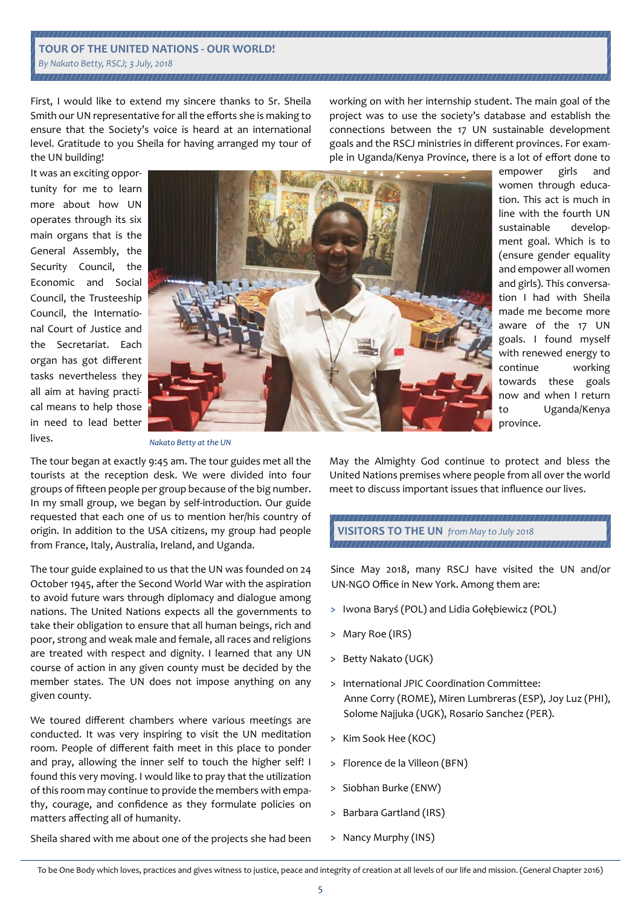# **TOUR OF THE UNITED NATIONS - OUR WORLD!** *By Nakato Betty, RSCJ; 3 July, 2018*

First, I would like to extend my sincere thanks to Sr. Sheila Smith our UN representative for all the efforts she is making to ensure that the Society's voice is heard at an international level. Gratitude to you Sheila for having arranged my tour of the UN building!

working on with her internship student. The main goal of the project was to use the society's database and establish the connections between the 17 UN sustainable development goals and the RSCJ ministries in different provinces. For example in Uganda/Kenya Province, there is a lot of effort done to

It was an exciting opportunity for me to learn more about how UN operates through its six main organs that is the General Assembly, the Security Council, the Economic and Social Council, the Trusteeship Council, the International Court of Justice and the Secretariat. Each organ has got different tasks nevertheless they all aim at having practical means to help those in need to lead better lives.



empower girls and women through education. This act is much in line with the fourth UN sustainable development goal. Which is to (ensure gender equality and empower all women and girls). This conversation I had with Sheila made me become more aware of the 17 UN goals. I found myself with renewed energy to continue working towards these goals now and when I return to Uganda/Kenya province.

*Nakato Betty at the UN*

The tour began at exactly 9:45 am. The tour guides met all the tourists at the reception desk. We were divided into four groups of fifteen people per group because of the big number. In my small group, we began by self-introduction. Our guide requested that each one of us to mention her/his country of origin. In addition to the USA citizens, my group had people from France, Italy, Australia, Ireland, and Uganda.

The tour guide explained to us that the UN was founded on 24 October 1945, after the Second World War with the aspiration to avoid future wars through diplomacy and dialogue among nations. The United Nations expects all the governments to take their obligation to ensure that all human beings, rich and poor, strong and weak male and female, all races and religions are treated with respect and dignity. I learned that any UN course of action in any given county must be decided by the member states. The UN does not impose anything on any given county.

We toured different chambers where various meetings are conducted. It was very inspiring to visit the UN meditation room. People of different faith meet in this place to ponder and pray, allowing the inner self to touch the higher self! I found this very moving. I would like to pray that the utilization of this room may continue to provide the members with empathy, courage, and confidence as they formulate policies on matters affecting all of humanity.

May the Almighty God continue to protect and bless the United Nations premises where people from all over the world meet to discuss important issues that influence our lives.

**VISITORS TO THE UN** *from May to July 2018*

Since May 2018, many RSCJ have visited the UN and/or UN-NGO Office in New York. Among them are:

- **>** Iwona Baryś (POL) and Lidia Gołębiewicz (POL)
- > Mary Roe (IRS)
- > Betty Nakato (UGK)
- > International JPIC Coordination Committee: Anne Corry (ROME), Miren Lumbreras (ESP), Joy Luz (PHI), Solome Najjuka (UGK), Rosario Sanchez (PER).
- > Kim Sook Hee (KOC)
- > Florence de la Villeon (BFN)
- > Siobhan Burke (ENW)
- Barbara Gartland (IRS)
- > Nancy Murphy (INS)

Sheila shared with me about one of the projects she had been

To be One Body which loves, practices and gives witness to justice, peace and integrity of creation at all levels of our life and mission. (General Chapter 2016)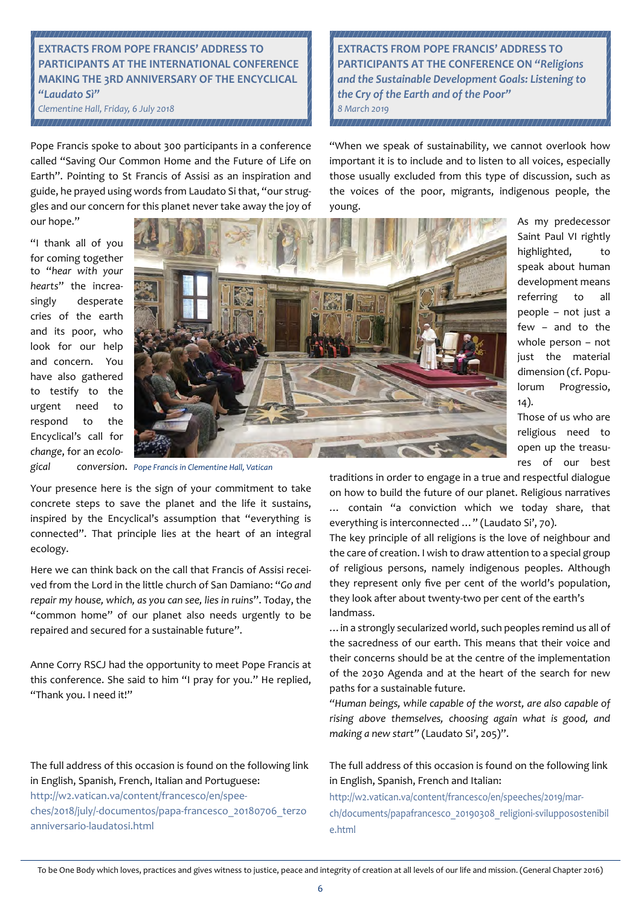# **EXTRACTS FROM POPE FRANCIS' ADDRESS TO PARTICIPANTS AT THE INTERNATIONAL CONFERENCE MAKING THE 3RD ANNIVERSARY OF THE ENCYCLICAL**  *"Laudato Sì"*

*Clementine Hall, Friday, 6 July 2018* 

Pope Francis spoke to about 300 participants in a conference called "Saving Our Common Home and the Future of Life on Earth". Pointing to St Francis of Assisi as an inspiration and guide, he prayed using words from Laudato Si that, "our struggles and our concern for this planet never take away the joy of our hope."

**EXTRACTS FROM POPE FRANCIS' ADDRESS TO PARTICIPANTS AT THE CONFERENCE ON** *"Religions and the Sustainable Development Goals: Listening to the Cry of the Earth and of the Poor" 8 March 2019* 

important it is to include and to listen to all voices, especially those usually excluded from this type of discussion, such as the voices of the poor, migrants, indigenous people, the young.

"I thank all of you for coming together to "*hear with your hearts*" the increasingly desperate cries of the earth and its poor, who look for our help and concern. You have also gathered to testify to the urgent need to respond to the Encyclical's call for *change*, for an *ecolo-*



*gical conversion*. *Pope Francis in Clementine Hall, Vatican*

Your presence here is the sign of your commitment to take concrete steps to save the planet and the life it sustains, inspired by the Encyclical's assumption that "everything is connected". That principle lies at the heart of an integral ecology.

Here we can think back on the call that Francis of Assisi received from the Lord in the little church of San Damiano: "*Go and repair my house, which, as you can see, lies in ruins*". Today, the "common home" of our planet also needs urgently to be repaired and secured for a sustainable future".

Anne Corry RSCJ had the opportunity to meet Pope Francis at this conference. She said to him "I pray for you." He replied, "Thank you. I need it!"

The full address of this occasion is found on the following link in English, Spanish, French, Italian and Portuguese:

http://w2.vatican.va/content/francesco/en/speeches/2018/july/-documentos/papa-francesco\_20180706\_terzo anniversario-laudatosi.html

"When we speak of sustainability, we cannot overlook how

As my predecessor Saint Paul VI rightly highlighted, to speak about human development means referring to all people – not just a few – and to the whole person – not just the material dimension (cf. Populorum Progressio, 14).

Those of us who are religious need to open up the treasures of our best

traditions in order to engage in a true and respectful dialogue on how to build the future of our planet. Religious narratives … contain "a conviction which we today share, that everything is interconnected …" (Laudato Si', 70).

The key principle of all religions is the love of neighbour and the care of creation. I wish to draw attention to a special group of religious persons, namely indigenous peoples. Although they represent only five per cent of the world's population, they look after about twenty-two per cent of the earth's landmass.

…in a strongly secularized world, such peoples remind us all of the sacredness of our earth. This means that their voice and their concerns should be at the centre of the implementation of the 2030 Agenda and at the heart of the search for new paths for a sustainable future.

*"Human beings, while capable of the worst, are also capable of rising above themselves, choosing again what is good, and making a new start"* (Laudato Si', 205)".

# The full address of this occasion is found on the following link in English, Spanish, French and Italian:

http://w2.vatican.va/content/francesco/en/speeches/2019/march/documents/papafrancesco\_20190308\_religioni-svilupposostenibil e.html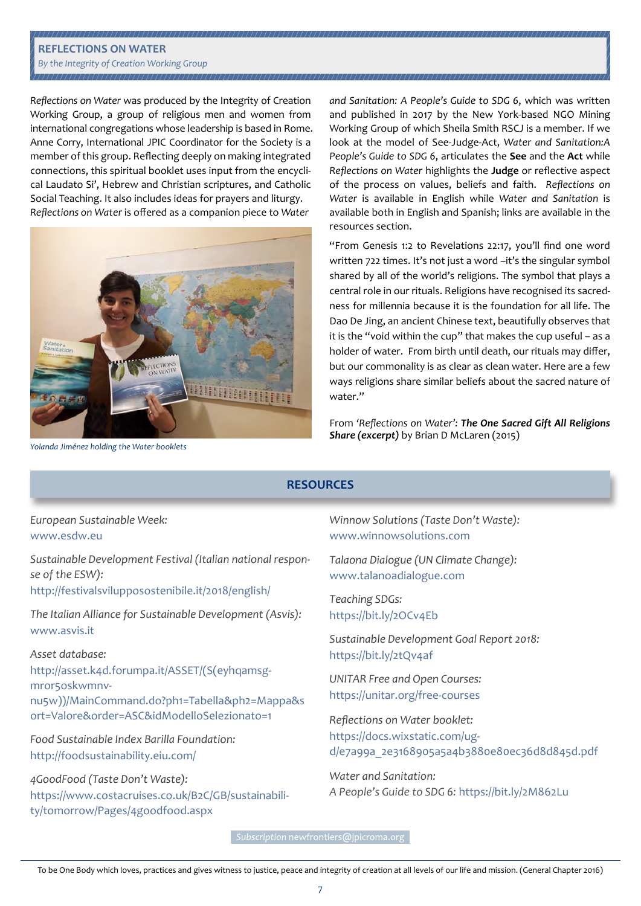# **REFLECTIONS ON WATER**

#### *By the Integrity of Creation Working Group*

*Reflections on Water* was produced by the Integrity of Creation Working Group, a group of religious men and women from international congregations whose leadership is based in Rome. Anne Corry, International JPIC Coordinator for the Society is a member of this group. Reflecting deeply on making integrated connections, this spiritual booklet uses input from the encyclical Laudato Si', Hebrew and Christian scriptures, and Catholic Social Teaching. It also includes ideas for prayers and liturgy. *Reflections on Water* is offered as a companion piece to *Water* 



*and Sanitation: A People's Guide to SDG 6*, which was written and published in 2017 by the New York-based NGO Mining Working Group of which Sheila Smith RSCJ is a member. If we look at the model of See-Judge-Act, *Water and Sanitation:A People's Guide to SDG 6*, articulates the **See** and the **Act** while *Reflections on Water* highlights the **Judge** or reflective aspect of the process on values, beliefs and faith. *Reflections on Water* is available in English while *Water and Sanitation* is available both in English and Spanish; links are available in the resources section.

"From Genesis 1:2 to Revelations 22:17, you'll find one word written 722 times. It's not just a word –it's the singular symbol shared by all of the world's religions. The symbol that plays a central role in our rituals. Religions have recognised its sacredness for millennia because it is the foundation for all life. The Dao De Jing, an ancient Chinese text, beautifully observes that it is the "void within the cup" that makes the cup useful – as a holder of water. From birth until death, our rituals may differ, but our commonality is as clear as clean water. Here are a few ways religions share similar beliefs about the sacred nature of water."

From *'Reflections on Water': The One Sacred Gift All Religions Share (excerpt)* by Brian D McLaren (2015)

*Yolanda Jiménez holding the Water booklets*

## **RESOURCES**

*European Sustainable Week:*  www.esdw.eu

*Sustainable Development Festival (Italian national response of the ESW):*  http://festivalsvilupposostenibile.it/2018/english/

*The Italian Alliance for Sustainable Development (Asvis):* www.asvis.it

#### *Asset database:*

http://asset.k4d.forumpa.it/ASSET/(S(eyhqamsgmror5oskwmnvnu5w))/MainCommand.do?ph1=Tabella&ph2=Mappa&s ort=Valore&order=ASC&idModelloSelezionato=1

*Food Sustainable Index Barilla Foundation:* http://foodsustainability.eiu.com/

*4GoodFood (Taste Don't Waste):*  https://www.costacruises.co.uk/B2C/GB/sustainability/tomorrow/Pages/4goodfood.aspx

*Winnow Solutions (Taste Don't Waste):*  www.winnowsolutions.com

*Talaona Dialogue (UN Climate Change):*  www.talanoadialogue.com

*Teaching SDGs:*  https://bit.ly/2OCv4Eb

*Sustainable Development Goal Report 2018:*  https://bit.ly/2tQv4af

*UNITAR Free and Open Courses:*  https://unitar.org/free-courses

*Reflections on Water booklet:*  https://docs.wixstatic.com/ugd/e7a99a\_2e3168905a5a4b3880e80ec36d8d845d.pdf

*Water and Sanitation: A People's Guide to SDG 6:* https://bit.ly/2M862Lu